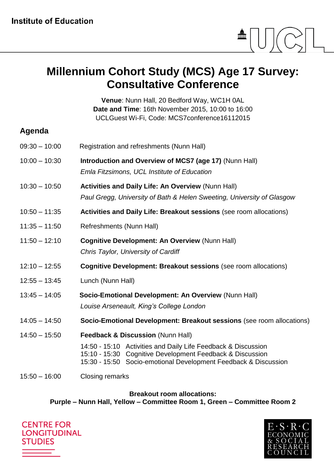

## **Millennium Cohort Study (MCS) Age 17 Survey: Consultative Conference**

**Venue**: Nunn Hall, 20 Bedford Way, WC1H 0AL **Date and Time**: 16th November 2015, 10:00 to 16:00 UCLGuest Wi-Fi, Code: MCS7conference16112015

### **Agenda**

| $10:00 - 10:30$<br>Introduction and Overview of MCS7 (age 17) (Nunn Hall)<br>Emla Fitzsimons, UCL Institute of Education<br>$10:30 - 10:50$<br><b>Activities and Daily Life: An Overview (Nunn Hall)</b><br>Paul Gregg, University of Bath & Helen Sweeting, University of Glasgow<br>$10:50 - 11:35$<br>Activities and Daily Life: Breakout sessions (see room allocations)<br>$11:35 - 11:50$<br>Refreshments (Nunn Hall)<br>$11:50 - 12:10$<br><b>Cognitive Development: An Overview (Nunn Hall)</b><br>Chris Taylor, University of Cardiff<br>$12:10 - 12:55$<br><b>Cognitive Development: Breakout sessions (see room allocations)</b><br>Lunch (Nunn Hall)<br>$12:55 - 13:45$<br>Socio-Emotional Development: An Overview (Nunn Hall)<br>$13:45 - 14:05$<br>Louise Arseneault, King's College London<br>$14:05 - 14:50$<br>$14:50 - 15:50$<br><b>Feedback &amp; Discussion (Nunn Hall)</b><br>14:50 - 15:10 Activities and Daily Life Feedback & Discussion<br>15:10 - 15:30 Cognitive Development Feedback & Discussion<br>15:30 - 15:50 Socio-emotional Development Feedback & Discussion<br>$15:50 - 16:00$<br>Closing remarks | $09:30 - 10:00$ | Registration and refreshments (Nunn Hall)                             |
|-----------------------------------------------------------------------------------------------------------------------------------------------------------------------------------------------------------------------------------------------------------------------------------------------------------------------------------------------------------------------------------------------------------------------------------------------------------------------------------------------------------------------------------------------------------------------------------------------------------------------------------------------------------------------------------------------------------------------------------------------------------------------------------------------------------------------------------------------------------------------------------------------------------------------------------------------------------------------------------------------------------------------------------------------------------------------------------------------------------------------------------------|-----------------|-----------------------------------------------------------------------|
|                                                                                                                                                                                                                                                                                                                                                                                                                                                                                                                                                                                                                                                                                                                                                                                                                                                                                                                                                                                                                                                                                                                                         |                 |                                                                       |
|                                                                                                                                                                                                                                                                                                                                                                                                                                                                                                                                                                                                                                                                                                                                                                                                                                                                                                                                                                                                                                                                                                                                         |                 |                                                                       |
|                                                                                                                                                                                                                                                                                                                                                                                                                                                                                                                                                                                                                                                                                                                                                                                                                                                                                                                                                                                                                                                                                                                                         |                 |                                                                       |
|                                                                                                                                                                                                                                                                                                                                                                                                                                                                                                                                                                                                                                                                                                                                                                                                                                                                                                                                                                                                                                                                                                                                         |                 |                                                                       |
|                                                                                                                                                                                                                                                                                                                                                                                                                                                                                                                                                                                                                                                                                                                                                                                                                                                                                                                                                                                                                                                                                                                                         |                 |                                                                       |
|                                                                                                                                                                                                                                                                                                                                                                                                                                                                                                                                                                                                                                                                                                                                                                                                                                                                                                                                                                                                                                                                                                                                         |                 |                                                                       |
|                                                                                                                                                                                                                                                                                                                                                                                                                                                                                                                                                                                                                                                                                                                                                                                                                                                                                                                                                                                                                                                                                                                                         |                 |                                                                       |
|                                                                                                                                                                                                                                                                                                                                                                                                                                                                                                                                                                                                                                                                                                                                                                                                                                                                                                                                                                                                                                                                                                                                         |                 |                                                                       |
|                                                                                                                                                                                                                                                                                                                                                                                                                                                                                                                                                                                                                                                                                                                                                                                                                                                                                                                                                                                                                                                                                                                                         |                 | Socio-Emotional Development: Breakout sessions (see room allocations) |
|                                                                                                                                                                                                                                                                                                                                                                                                                                                                                                                                                                                                                                                                                                                                                                                                                                                                                                                                                                                                                                                                                                                                         |                 |                                                                       |
|                                                                                                                                                                                                                                                                                                                                                                                                                                                                                                                                                                                                                                                                                                                                                                                                                                                                                                                                                                                                                                                                                                                                         |                 |                                                                       |

**Breakout room allocations:** 

**Purple – Nunn Hall, Yellow – Committee Room 1, Green – Committee Room 2**

**CENTRE FOR LONGITUDINAL STUDIES** 

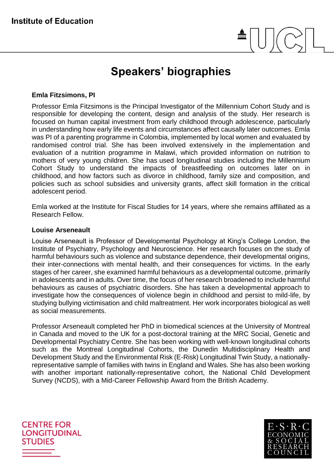# **Speakers' biographies**

#### **Emla Fitzsimons, PI**

Professor Emla Fitzsimons is the Principal Investigator of the Millennium Cohort Study and is responsible for developing the content, design and analysis of the study. Her research is focused on human capital investment from early childhood through adolescence, particularly in understanding how early life events and circumstances affect causally later outcomes. Emla was PI of a parenting programme in Colombia, implemented by local women and evaluated by randomised control trial. She has been involved extensively in the implementation and evaluation of a nutrition programme in Malawi, which provided information on nutrition to mothers of very young children. She has used longitudinal studies including the Millennium Cohort Study to understand the impacts of breastfeeding on outcomes later on in childhood, and how factors such as divorce in childhood, family size and composition, and policies such as school subsidies and university grants, affect skill formation in the critical adolescent period.

Emla worked at the Institute for Fiscal Studies for 14 years, where she remains affiliated as a Research Fellow.

#### **Louise Arseneault**

Louise Arseneault is Professor of Developmental Psychology at King's College London, the Institute of Psychiatry, Psychology and Neuroscience. Her research focuses on the study of harmful behaviours such as violence and substance dependence, their developmental origins, their inter-connections with mental health, and their consequences for victims. In the early stages of her career, she examined harmful behaviours as a developmental outcome, primarily in adolescents and in adults. Over time, the focus of her research broadened to include harmful behaviours as causes of psychiatric disorders. She has taken a developmental approach to investigate how the consequences of violence begin in childhood and persist to mild-life, by studying bullying victimisation and child maltreatment. Her work incorporates biological as well as social measurements.

Professor Arseneault completed her PhD in biomedical sciences at the University of Montreal in Canada and moved to the UK for a post-doctoral training at the MRC Social, Genetic and Developmental Psychiatry Centre. She has been working with well-known longitudinal cohorts such as the Montreal Longitudinal Cohorts, the Dunedin Multidisciplinary Health and Development Study and the Environmental Risk (E-Risk) Longitudinal Twin Study, a nationallyrepresentative sample of families with twins in England and Wales. She has also been working with another important nationally-representative cohort, the National Child Development Survey (NCDS), with a Mid-Career Fellowship Award from the British Academy.

**CENTRE FOR LONGITUDINAL STUDIES**